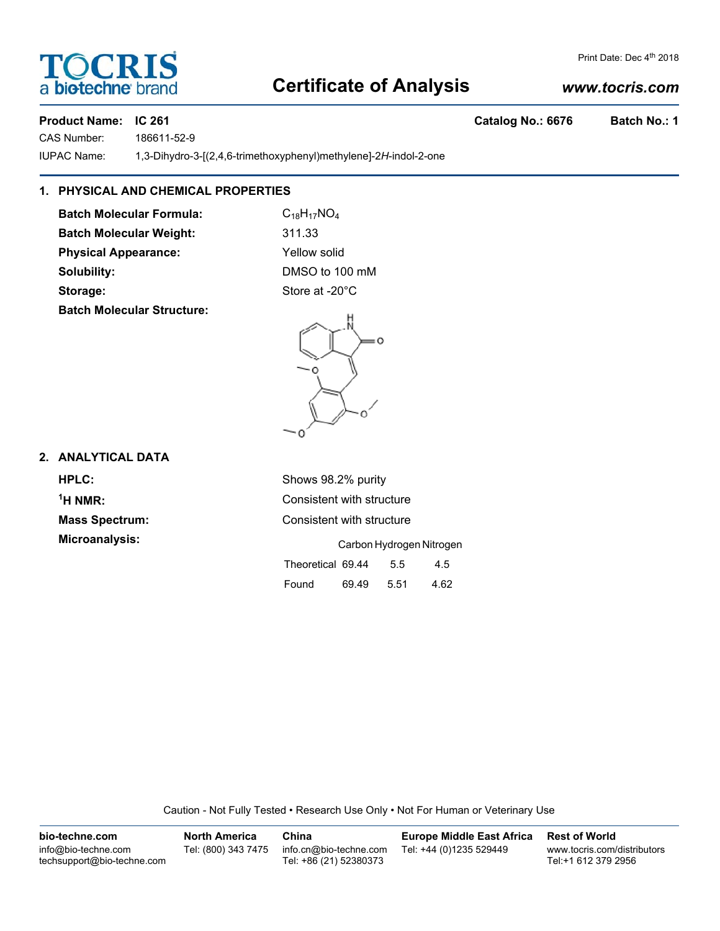# **Certificate of Analysis**

### *www.tocris.com*

Product Name: IC 261 **Catalog No.: 6676** Batch No.: 1

CAS Number: 186611-52-9

IUPAC Name: 1,3-Dihydro-3-[(2,4,6-trimethoxyphenyl)methylene]-2*H*-indol-2-one

### **1. PHYSICAL AND CHEMICAL PROPERTIES**

**Batch Molecular Formula:** C<sub>18</sub>H<sub>17</sub>NO<sub>4</sub> Batch Molecular Weight: 311.33 **Physical Appearance:** Yellow solid **Solubility:** DMSO to 100 mM Storage: Storage: Store at -20°C

**Batch Molecular Structure:**

### **2. ANALYTICAL DATA**

| HPLC:                 | Shows 98.2% purity              |  |  |  |  |
|-----------------------|---------------------------------|--|--|--|--|
| $1H NMR$ :            | Consistent with structure       |  |  |  |  |
| <b>Mass Spectrum:</b> | Consistent with structure       |  |  |  |  |
| Microanalysis:        | Carbon Hydrogen Nitrogen        |  |  |  |  |
|                       | Theoretical 69.44<br>4.5<br>5.5 |  |  |  |  |

Caution - Not Fully Tested • Research Use Only • Not For Human or Veterinary Use

Found 69.49 5.51 4.62

| bio-techne.com                                    | <b>North America</b> | China                                            | <b>Europe Middle East Africa</b> | <b>Rest of World</b>                               |
|---------------------------------------------------|----------------------|--------------------------------------------------|----------------------------------|----------------------------------------------------|
| info@bio-techne.com<br>techsupport@bio-techne.com | Tel: (800) 343 7475  | info.cn@bio-techne.com<br>Tel: +86 (21) 52380373 | Tel: +44 (0)1235 529449          | www.tocris.com/distributors<br>Tel:+1 612 379 2956 |



Print Date: Dec 4<sup>th</sup> 2018